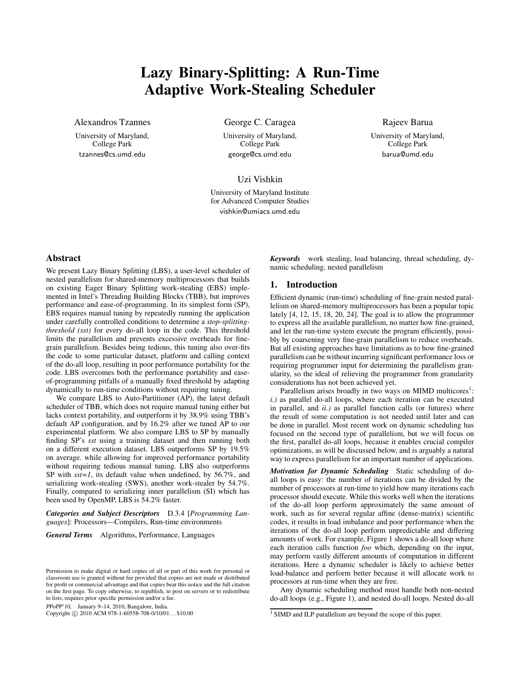# Lazy Binary-Splitting: A Run-Time Adaptive Work-Stealing Scheduler

Alexandros Tzannes

University of Maryland, College Park tzannes@cs.umd.edu

George C. Caragea University of Maryland, College Park george@cs.umd.edu

Uzi Vishkin

University of Maryland Institute for Advanced Computer Studies vishkin@umiacs.umd.edu

Rajeev Barua

University of Maryland, College Park barua@umd.edu

# Abstract

We present Lazy Binary Splitting (LBS), a user-level scheduler of nested parallelism for shared-memory multiprocessors that builds on existing Eager Binary Splitting work-stealing (EBS) implemented in Intel's Threading Building Blocks (TBB), but improves performance and ease-of-programming. In its simplest form (SP), EBS requires manual tuning by repeatedly running the application under carefully controlled conditions to determine a *stop-splittingthreshold (sst)* for every do-all loop in the code. This threshold limits the parallelism and prevents excessive overheads for finegrain parallelism. Besides being tedious, this tuning also over-fits the code to some particular dataset, platform and calling context of the do-all loop, resulting in poor performance portability for the code. LBS overcomes both the performance portability and easeof-programming pitfalls of a manually fixed threshold by adapting dynamically to run-time conditions without requiring tuning.

We compare LBS to Auto-Partitioner (AP), the latest default scheduler of TBB, which does not require manual tuning either but lacks context portability, and outperform it by 38.9% using TBB's default AP configuration, and by 16.2% after we tuned AP to our experimental platform. We also compare LBS to SP by manually finding SP's *sst* using a training dataset and then running both on a different execution dataset. LBS outperforms SP by 19.5% on average. while allowing for improved performance portability without requiring tedious manual tuning. LBS also outperforms SP with *sst=1*, its default value when undefined, by 56.7%, and serializing work-stealing (SWS), another work-stealer by 54.7%. Finally, compared to serializing inner parallelism (SI) which has been used by OpenMP, LBS is 54.2% faster.

*Categories and Subject Descriptors* D.3.4 [*Programming Languages*]: Processors—Compilers, Run-time environments

*General Terms* Algorithms, Performance, Languages

PPoPP'10, January 9–14, 2010, Bangalore, India.

Copyright © 2010 ACM 978-1-60558-708-0/10/01... \$10.00

*Keywords* work stealing, load balancing, thread scheduling, dynamic scheduling, nested parallelism

## 1. Introduction

Efficient dynamic (run-time) scheduling of fine-grain nested parallelism on shared-memory multiprocessors has been a popular topic lately [4, 12, 15, 18, 20, 24]. The goal is to allow the programmer to express all the available parallelism, no matter how fine-grained, and let the run-time system execute the program efficiently, possibly by coarsening very fine-grain parallelism to reduce overheads. But all existing approaches have limitations as to how fine-grained parallelism can be without incurring significant performance loss or requiring programmer input for determining the parallelism granularity, so the ideal of relieving the programmer from granularity considerations has not been achieved yet.

Parallelism arises broadly in two ways on MIMD multicores<sup>1</sup>: *i.)* as parallel do-all loops, where each iteration can be executed in parallel, and *ii.)* as parallel function calls (or futures) where the result of some computation is not needed until later and can be done in parallel. Most recent work on dynamic scheduling has focused on the second type of parallelism, but we will focus on the first, parallel do-all loops, because it enables crucial compiler optimizations, as will be discussed below, and is arguably a natural way to express parallelism for an important number of applications.

*Motivation for Dynamic Scheduling* Static scheduling of doall loops is easy: the number of iterations can be divided by the number of processors at run-time to yield how many iterations each processor should execute. While this works well when the iterations of the do-all loop perform approximately the same amount of work, such as for several regular affine (dense-matrix) scientific codes, it results in load imbalance and poor performance when the iterations of the do-all loop perform unpredictable and differing amounts of work. For example, Figure 1 shows a do-all loop where each iteration calls function *foo* which, depending on the input, may perform vastly different amounts of computation in different iterations. Here a dynamic scheduler is likely to achieve better load-balance and perform better because it will allocate work to processors at run-time when they are free.

Any dynamic scheduling method must handle both non-nested do-all loops (e.g., Figure 1), and nested do-all loops. Nested do-all

Permission to make digital or hard copies of all or part of this work for personal or classroom use is granted without fee provided that copies are not made or distributed for profit or commercial advantage and that copies bear this notice and the full citation on the first page. To copy otherwise, to republish, to post on servers or to redistribute to lists, requires prior specific permission and/or a fee.

<sup>&</sup>lt;sup>1</sup> SIMD and ILP parallelism are beyond the scope of this paper.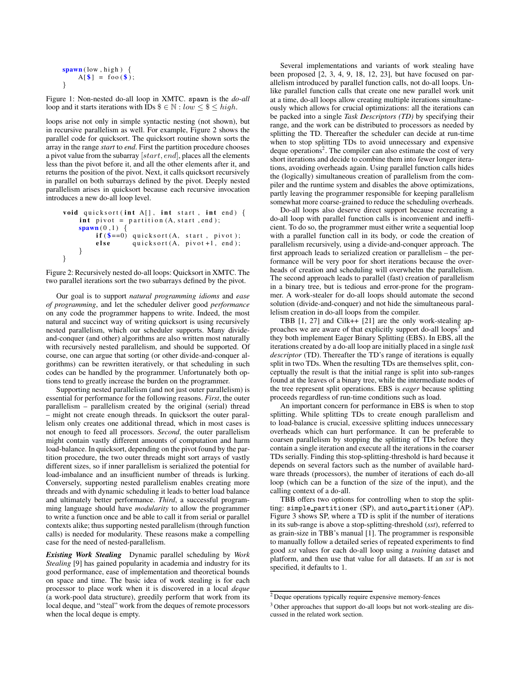```
\text{spam}(\text{low}, \text{high}) {
      A[\$] = foo(\$);}
```
Figure 1: Non-nested do-all loop in XMTC. spawn is the *do-all* loop and it starts iterations with IDs  $\$\in \mathbb{N}: low \leq \$\leq high.$ 

loops arise not only in simple syntactic nesting (not shown), but in recursive parallelism as well. For example, Figure 2 shows the parallel code for quicksort. The quicksort routine shown sorts the array in the range *start* to *end*. First the partition procedure chooses a pivot value from the subarray  $[start, end]$ , places all the elements less than the pivot before it, and all the other elements after it, and returns the position of the pivot. Next, it calls quicksort recursively in parallel on both subarrays defined by the pivot. Deeply nested parallelism arises in quicksort because each recursive invocation introduces a new do-all loop level.

```
void quicksort (int A[], int start, int end) {
     \text{int } pivot = partition (A, start, end);
     \text{span}(0,1) {
          if ($==0$) quicksort(A, start, pivot);<br>
else quicksort(A, pivot+1, end);
                       quicksort(A, pivot +1, end);}
}
```
Figure 2: Recursively nested do-all loops: Quicksort in XMTC. The two parallel iterations sort the two subarrays defined by the pivot.

Our goal is to support *natural programming idioms* and *ease of programming*, and let the scheduler deliver good *performance* on any code the programmer happens to write. Indeed, the most natural and succinct way of writing quicksort is using recursively nested parallelism, which our scheduler supports. Many divideand-conquer (and other) algorithms are also written most naturally with recursively nested parallelism, and should be supported. Of course, one can argue that sorting (or other divide-and-conquer algorithms) can be rewritten iteratively, or that scheduling in such codes can be handled by the programmer. Unfortunately both options tend to greatly increase the burden on the programmer.

Supporting nested parallelism (and not just outer parallelism) is essential for performance for the following reasons. *First*, the outer parallelism – parallelism created by the original (serial) thread – might not create enough threads. In quicksort the outer parallelism only creates one additional thread, which in most cases is not enough to feed all processors. *Second*, the outer parallelism might contain vastly different amounts of computation and harm load-balance. In quicksort, depending on the pivot found by the partition procedure, the two outer threads might sort arrays of vastly different sizes, so if inner parallelism is serialized the potential for load-imbalance and an insufficient number of threads is lurking. Conversely, supporting nested parallelism enables creating more threads and with dynamic scheduling it leads to better load balance and ultimately better performance. *Third*, a successful programming language should have *modularity* to allow the programmer to write a function once and be able to call it from serial or parallel contexts alike; thus supporting nested parallelism (through function calls) is needed for modularity. These reasons make a compelling case for the need of nested-parallelism.

*Existing Work Stealing* Dynamic parallel scheduling by *Work Stealing* [9] has gained popularity in academia and industry for its good performance, ease of implementation and theoretical bounds on space and time. The basic idea of work stealing is for each processor to place work when it is discovered in a local *deque* (a work-pool data structure), greedily perform that work from its local deque, and "steal" work from the deques of remote processors when the local deque is empty.

Several implementations and variants of work stealing have been proposed [2, 3, 4, 9, 18, 12, 23], but have focused on parallelism introduced by parallel function calls, not do-all loops. Unlike parallel function calls that create one new parallel work unit at a time, do-all loops allow creating multiple iterations simultaneously which allows for crucial optimizations: all the iterations can be packed into a single *Task Descriptors (TD)* by specifying their range, and the work can be distributed to processors as needed by splitting the TD. Thereafter the scheduler can decide at run-time when to stop splitting TDs to avoid unnecessary and expensive deque operations<sup>2</sup>. The compiler can also estimate the cost of very short iterations and decide to combine them into fewer longer iterations, avoiding overheads again. Using parallel function calls hides the (logically) simultaneous creation of parallelism from the compiler and the runtime system and disables the above optimizations, partly leaving the programmer responsible for keeping parallelism somewhat more coarse-grained to reduce the scheduling overheads.

Do-all loops also deserve direct support because recreating a do-all loop with parallel function calls is inconvenient and inefficient. To do so, the programmer must either write a sequential loop with a parallel function call in its body, or code the creation of parallelism recursively, using a divide-and-conquer approach. The first approach leads to serialized creation or parallelism – the performance will be very poor for short iterations because the overheads of creation and scheduling will overwhelm the parallelism. The second approach leads to parallel (fast) creation of parallelism in a binary tree, but is tedious and error-prone for the programmer. A work-stealer for do-all loops should automate the second solution (divide-and-conquer) and not hide the simultaneous parallelism creation in do-all loops from the compiler.

TBB [1, 27] and Cilk++ [21] are the only work-stealing approaches we are aware of that explicitly support do-all loops<sup>3</sup> and they both implement Eager Binary Splitting (EBS). In EBS, all the iterations created by a do-all loop are initially placed in a single *task descriptor* (TD). Thereafter the TD's range of iterations is equally split in two TDs. When the resulting TDs are themselves split, conceptually the result is that the initial range is split into sub-ranges found at the leaves of a binary tree, while the intermediate nodes of the tree represent split operations. EBS is *eager* because splitting proceeds regardless of run-time conditions such as load.

An important concern for performance in EBS is when to stop splitting. While splitting TDs to create enough parallelism and to load-balance is crucial, excessive splitting induces unnecessary overheads which can hurt performance. It can be preferable to coarsen parallelism by stopping the splitting of TDs before they contain a single iteration and execute all the iterations in the coarser TDs serially. Finding this stop-splitting-threshold is hard because it depends on several factors such as the number of available hardware threads (processors), the number of iterations of each do-all loop (which can be a function of the size of the input), and the calling context of a do-all.

TBB offers two options for controlling when to stop the splitting: simple partitioner (SP), and auto partitioner (AP). Figure 3 shows SP, where a TD is split if the number of iterations in its sub-range is above a stop-splitting-threshold (*sst*), referred to as grain-size in TBB's manual [1]. The programmer is responsible to manually follow a detailed series of repeated experiments to find good *sst* values for each do-all loop using a *training* dataset and platform, and then use that value for all datasets. If an *sst* is not specified, it defaults to 1.

<sup>2</sup> Deque operations typically require expensive memory-fences

<sup>&</sup>lt;sup>3</sup> Other approaches that support do-all loops but not work-stealing are discussed in the related work section.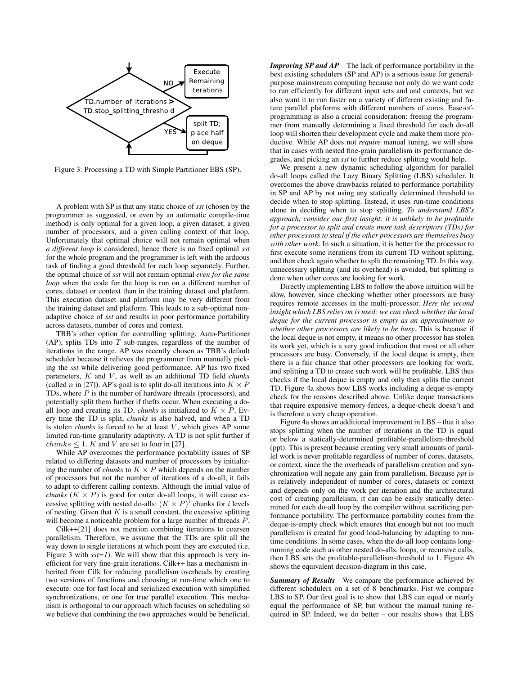

Figure 3: Processing a TD with Simple Partitioner EBS (SP).

A problem with SP is that any static choice of *sst* (chosen by the programmer as suggested, or even by an automatic compile-time method) is only optimal for a given loop, a given dataset, a given number of processors, and a given calling context of that loop. Unfortunately that optimal choice will not remain optimal when *a different loop* is considered; hence there is no fixed optimal *sst* for the whole program and the programmer is left with the arduous task of finding a good threshold for each loop separately. Further, the optimal choice of *sst* will not remain optimal *even for the same loop* when the code for the loop is run on a different number of cores, dataset or context than in the training dataset and platform. This execution dataset and platform may be very different from the training dataset and platform. This leads to a sub-optimal nonadaptive choice of *sst* and results in poor performance portability across datasets, number of cores and context.

TBB's other option for controlling splitting, Auto-Partitioner  $(AP)$ , splits TDs into T sub-ranges, regardless of the number of iterations in the range. AP was recently chosen as TBB's default scheduler because it relieves the programmer from manually picking the *sst* while delivering good performance. AP has two fixed parameters, K and V, as well as an additional TD field *chunks* (called *n* in [27]). AP's goal is to split do-all iterations into  $K \times P$ TDs, where  $P$  is the number of hardware threads (processors), and potentially split them further if thefts occur. When executing a doall loop and creating its TD, *chunks* is initialized to  $K \times P$ . Every time the TD is split, *chunks* is also halved, and when a TD is stolen *chunks* is forced to be at least  $V$ , which gives AP some limited run-time granularity adaptivity. A TD is not split further if *chunks*  $\leq 1$ . *K* and *V* are set to four in [27].

While AP overcomes the performance portability issues of SP related to differing datasets and number of processors by initializing the number of *chunks* to  $K \times P$  which depends on the number of processors but not the number of iterations of a do-all, it fails to adapt to different calling contexts. Although the initial value of *chunks*  $(K \times P)$  is good for outer do-all loops, it will cause excessive splitting with nested do-alls:  $(K \times P)^{i}$  chunks for i levels of nesting. Given that  $K$  is a small constant, the excessive splitting will become a noticeable problem for a large number of threads P.

Cilk++[21] does not mention combining iterations to coarsen parallelism. Therefore, we assume that the TDs are split all the way down to single iterations at which point they are executed (i.e. Figure 3 with  $sst=1$ ). We will show that this approach is very inefficient for very fine-grain iterations. Cilk++ has a mechanism inherited from Cilk for reducing parallelism overheads by creating two versions of functions and choosing at run-time which one to execute: one for fast local and serialized execution with simplified synchronizations, or one for true parallel execution. This mechanism is orthogonal to our approach which focuses on scheduling so we believe that combining the two approaches would be beneficial. *Improving SP and AP* The lack of performance portability in the best existing schedulers (SP and AP) is a serious issue for generalpurpose mainstream computing because not only do we want code to run efficiently for different input sets and and contexts, but we also want it to run faster on a variety of different existing and future parallel platforms with different numbers of cores. Ease-ofprogramming is also a crucial consideration: freeing the programmer from manually determining a fixed threshold for each do-all loop will shorten their development cycle and make them more productive. While AP does not *require* manual tuning, we will show that in cases with nested fine-grain parallelism its performance degrades, and picking an *sst* to further reduce splitting would help.

We present a new dynamic scheduling algorithm for parallel do-all loops called the Lazy Binary Splitting (LBS) scheduler. It overcomes the above drawbacks related to performance portability in SP and AP by not using any statically determined threshold to decide when to stop splitting. Instead, it uses run-time conditions alone in deciding when to stop splitting. *To understand LBS's approach, consider our first insight: it is unlikely to be profitable for a processor to split and create more task descriptors (TDs) for other processors to steal if the other processors are themselves busy with other work*. In such a situation, it is better for the processor to first execute some iterations from its current TD without splitting, and then check again whether to split the remaining TD. In this way, unnecessary splitting (and its overhead) is avoided, but splitting is done when other cores are looking for work.

Directly implementing LBS to follow the above intuition will be slow, however, since checking whether other processors are busy requires remote accesses in the multi-processor. *Here the second insight which LBS relies on is used: we can check whether the local deque for the current processor is empty as an approximation to whether other processors are likely to be busy*. This is because if the local deque is not empty, it means no other processor has stolen its work yet, which is a very good indication that most or all other processors are busy. Conversely, if the local deque is empty, then there is a fair chance that other processors are looking for work, and splitting a TD to create such work will be profitable. LBS thus checks if the local deque is empty and only then splits the current TD. Figure 4a shows how LBS works including a deque-is-empty check for the reasons described above. Unlike deque transactions that require expensive memory-fences, a deque-check doesn't and is therefore a very cheap operation.

Figure 4a shows an additional improvement in LBS – that it also stops splitting when the number of iterations in the TD is equal or below a statically-determined profitable-parallelism-threshold (ppt). This is present because creating very small amounts of parallel work is never profitable regardless of number of cores, datasets, or context, since the the overheads of parallelism creation and synchronization will negate any gain from parallelism. Because *ppt* is is relatively independent of number of cores, datasets or context and depends only on the work per iteration and the architectural cost of creating parallelism, it can can be easily statically determined for each do-all loop by the compiler without sacrificing performance portability. The performance portability comes from the deque-is-empty check which ensures that enough but not too much parallelism is created for good load-balancing by adapting to runtime conditions. In some cases, when the do-all loop contains longrunning code such as other nested do-alls, loops, or recursive calls, then LBS sets the profitable-parallelism-threshold to 1. Figure 4b shows the equivalent decision-diagram in this case.

*Summary of Results* We compare the performance achieved by different schedulers on a set of 8 benchmarks. Fist we compare LBS to SP. Our first goal is to show that LBS can equal or nearly equal the performance of SP, but without the manual tuning required in SP. Indeed, we do better – our results shows that LBS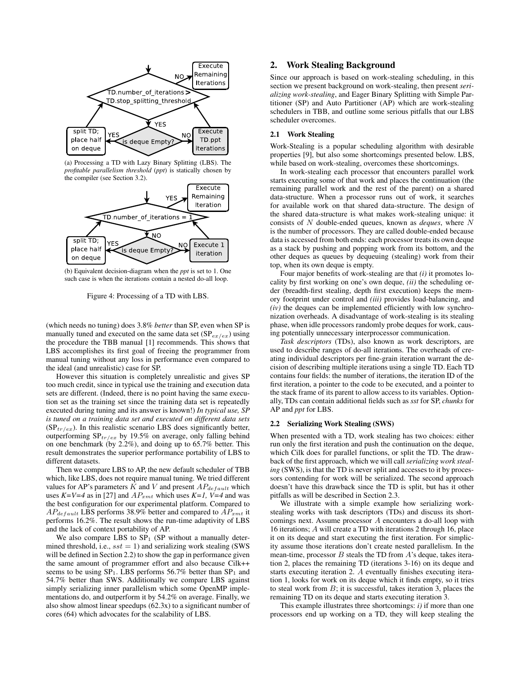

(a) Processing a TD with Lazy Binary Splitting (LBS). The *profitable parallelism threshold* (*ppt*) is statically chosen by the compiler (see Section 3.2).



(b) Equivalent decision-diagram when the *ppt* is set to 1. One such case is when the iterations contain a nested do-all loop.

Figure 4: Processing of a TD with LBS.

(which needs no tuning) does 3.8% *better* than SP, even when SP is manually tuned and executed on the same data set  $(SP_{ex}/_{ex})$  using the procedure the TBB manual [1] recommends. This shows that LBS accomplishes its first goal of freeing the programmer from manual tuning without any loss in performance even compared to the ideal (and unrealistic) case for SP.

However this situation is completely unrealistic and gives SP too much credit, since in typical use the training and execution data sets are different. (Indeed, there is no point having the same execution set as the training set since the training data set is repeatedly executed during tuning and its answer is known!) *In typical use, SP is tuned on a training data set and executed on different data sets*  $(SP<sub>tr/ex</sub>)$ . In this realistic scenario LBS does significantly better, outperforming  $SP_{tr/ex}$  by 19.5% on average, only falling behind on one benchmark (by 2.2%), and doing up to 65.7% better. This result demonstrates the superior performance portability of LBS to different datasets.

Then we compare LBS to AP, the new default scheduler of TBB which, like LBS, does not require manual tuning. We tried different values for AP's parameters  $\overline{K}$  and  $V$  and present  $AP_{default}$  which uses  $K=V=4$  as in [27] and  $AP_{xmt}$  which uses  $K=1$ ,  $V=4$  and was the best configuration for our experimental platform. Compared to  $AP_{default}$  LBS performs 38.9% better and compared to  $AP_{xmt}$  it performs 16.2%. The result shows the run-time adaptivity of LBS and the lack of context portability of AP.

We also compare LBS to  $SP_1$  (SP without a manually determined threshold, i.e.,  $sst = 1$ ) and serializing work stealing (SWS) will be defined in Section 2.2) to show the gap in performance given the same amount of programmer effort and also because Cilk++ seems to be using  $SP_1$ . LBS performs 56.7% better than  $SP_1$  and 54.7% better than SWS. Additionally we compare LBS against simply serializing inner parallelism which some OpenMP implementations do, and outperform it by 54.2% on average. Finally, we also show almost linear speedups (62.3x) to a significant number of cores (64) which advocates for the scalability of LBS.

# 2. Work Stealing Background

Since our approach is based on work-stealing scheduling, in this section we present background on work-stealing, then present *serializing work-stealing*, and Eager Binary Splitting with Simple Partitioner (SP) and Auto Partitioner (AP) which are work-stealing schedulers in TBB, and outline some serious pitfalls that our LBS scheduler overcomes.

#### 2.1 Work Stealing

Work-Stealing is a popular scheduling algorithm with desirable properties [9], but also some shortcomings presented below. LBS, while based on work-stealing, overcomes these shortcomings.

In work-stealing each processor that encounters parallel work starts executing some of that work and places the continuation (the remaining parallel work and the rest of the parent) on a shared data-structure. When a processor runs out of work, it searches for available work on that shared data-structure. The design of the shared data-structure is what makes work-stealing unique: it consists of N double-ended queues, known as *deques*, where N is the number of processors. They are called double-ended because data is accessed from both ends: each processor treats its own deque as a stack by pushing and popping work from its bottom, and the other deques as queues by dequeuing (stealing) work from their top, when its own deque is empty.

Four major benefits of work-stealing are that *(i)* it promotes locality by first working on one's own deque, *(ii)* the scheduling order (breadth-first stealing, depth first execution) keeps the memory footprint under control and *(iii)* provides load-balancing, and  $(iv)$  the deques can be implemented efficiently with low synchronization overheads. A disadvantage of work-stealing is its stealing phase, when idle processors randomly probe deques for work, causing potentially unnecessary interprocessor communication.

*Task descriptors* (TDs), also known as work descriptors, are used to describe ranges of do-all iterations. The overheads of creating individual descriptors per fine-grain iteration warrant the decision of describing multiple iterations using a single TD. Each TD contains four fields: the number of iterations, the iteration ID of the first iteration, a pointer to the code to be executed, and a pointer to the stack frame of its parent to allow access to its variables. Optionally, TDs can contain additional fields such as *sst* for SP, *chunks* for AP and *ppt* for LBS.

# 2.2 Serializing Work Stealing (SWS)

When presented with a TD, work stealing has two choices: either run only the first iteration and push the continuation on the deque, which Cilk does for parallel functions, or split the TD. The drawback of the first approach, which we will call*serializing work stealing* (SWS), is that the TD is never split and accesses to it by processors contending for work will be serialized. The second approach doesn't have this drawback since the TD is split, but has it other pitfalls as will be described in Section 2.3.

We illustrate with a simple example how serializing workstealing works with task descriptors (TDs) and discuss its shortcomings next. Assume processor A encounters a do-all loop with 16 iterations; A will create a TD with iterations 2 through 16, place it on its deque and start executing the first iteration. For simplicity assume those iterations don't create nested parallelism. In the mean-time, processor  $B$  steals the TD from  $A$ 's deque, takes iteration 2, places the remaining TD (iterations 3-16) on its deque and starts executing iteration 2. A eventually finishes executing iteration 1, looks for work on its deque which it finds empty, so it tries to steal work from  $B$ ; it is successful, takes iteration 3, places the remaining TD on its deque and starts executing iteration 3.

This example illustrates three shortcomings: *i)* if more than one processors end up working on a TD, they will keep stealing the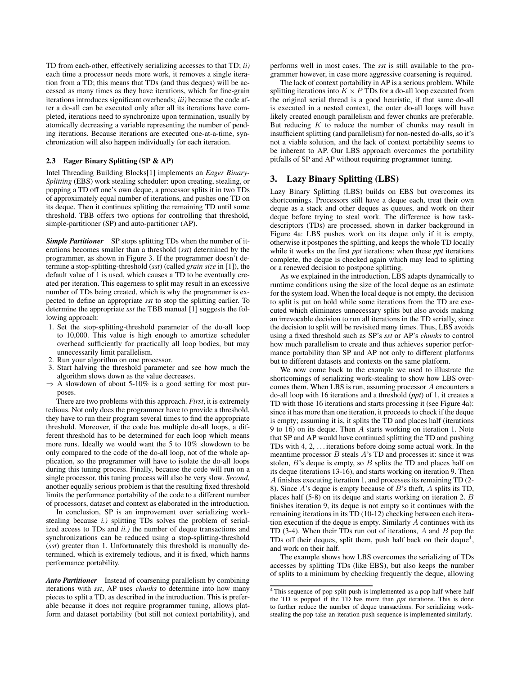TD from each-other, effectively serializing accesses to that TD; *ii)* each time a processor needs more work, it removes a single iteration from a TD; this means that TDs (and thus deques) will be accessed as many times as they have iterations, which for fine-grain iterations introduces significant overheads; *iii)* because the code after a do-all can be executed only after all its iterations have completed, iterations need to synchronize upon termination, usually by atomically decreasing a variable representing the number of pending iterations. Because iterations are executed one-at-a-time, synchronization will also happen individually for each iteration.

#### 2.3 Eager Binary Splitting (SP & AP)

Intel Threading Building Blocks[1] implements an *Eager Binary-Splitting* (EBS) work stealing scheduler: upon creating, stealing, or popping a TD off one's own deque, a processor splits it in two TDs of approximately equal number of iterations, and pushes one TD on its deque. Then it continues splitting the remaining TD until some threshold. TBB offers two options for controlling that threshold, simple-partitioner (SP) and auto-partitioner (AP).

*Simple Partitioner* SP stops splitting TDs when the number of iterations becomes smaller than a threshold (*sst*) determined by the programmer, as shown in Figure 3. If the programmer doesn't determine a stop-splitting-threshold (*sst*) (called *grain size* in [1]), the default value of 1 is used, which causes a TD to be eventually created per iteration. This eagerness to split may result in an excessive number of TDs being created, which is why the programmer is expected to define an appropriate *sst* to stop the splitting earlier. To determine the appropriate *sst* the TBB manual [1] suggests the following approach:

- 1. Set the stop-splitting-threshold parameter of the do-all loop to 10,000. This value is high enough to amortize scheduler overhead sufficiently for practically all loop bodies, but may unnecessarily limit parallelism.
- 2. Run your algorithm on one processor.
- 3. Start halving the threshold parameter and see how much the algorithm slows down as the value decreases.
- $\Rightarrow$  A slowdown of about 5-10% is a good setting for most purposes.

There are two problems with this approach. *First*, it is extremely tedious. Not only does the programmer have to provide a threshold, they have to run their program several times to find the appropriate threshold. Moreover, if the code has multiple do-all loops, a different threshold has to be determined for each loop which means more runs. Ideally we would want the 5 to 10% slowdown to be only compared to the code of the do-all loop, not of the whole application, so the programmer will have to isolate the do-all loops during this tuning process. Finally, because the code will run on a single processor, this tuning process will also be very slow. *Second*, another equally serious problem is that the resulting fixed threshold limits the performance portability of the code to a different number of processors, dataset and context as elaborated in the introduction.

In conclusion, SP is an improvement over serializing workstealing because *i.)* splitting TDs solves the problem of serialized access to TDs and *ii.)* the number of deque transactions and synchronizations can be reduced using a stop-splitting-threshold (*sst*) greater than 1. Unfortunately this threshold is manually determined, which is extremely tedious, and it is fixed, which harms performance portability.

*Auto Partitioner* Instead of coarsening parallelism by combining iterations with *sst*, AP uses *chunks* to determine into how many pieces to split a TD, as described in the introduction. This is preferable because it does not require programmer tuning, allows platform and dataset portability (but still not context portability), and performs well in most cases. The *sst* is still available to the programmer however, in case more aggressive coarsening is required.

The lack of context portability in AP is a serious problem. While splitting iterations into  $K \times P$  TDs for a do-all loop executed from the original serial thread is a good heuristic, if that same do-all is executed in a nested context, the outer do-all loops will have likely created enough parallelism and fewer chunks are preferable. But reducing  $K$  to reduce the number of chunks may result in insufficient splitting (and parallelism) for non-nested do-alls, so it's not a viable solution, and the lack of context portability seems to be inherent to AP. Our LBS approach overcomes the portability pitfalls of SP and AP without requiring programmer tuning.

## 3. Lazy Binary Splitting (LBS)

Lazy Binary Splitting (LBS) builds on EBS but overcomes its shortcomings. Processors still have a deque each, treat their own deque as a stack and other deques as queues, and work on their deque before trying to steal work. The difference is how taskdescriptors (TDs) are processed, shown in darker background in Figure 4a: LBS pushes work on its deque only if it is empty, otherwise it postpones the splitting, and keeps the whole TD locally while it works on the first *ppt* iterations; when these *ppt* iterations complete, the deque is checked again which may lead to splitting or a renewed decision to postpone splitting.

As we explained in the introduction, LBS adapts dynamically to runtime conditions using the size of the local deque as an estimate for the system load. When the local deque is not empty, the decision to split is put on hold while some iterations from the TD are executed which eliminates unnecessary splits but also avoids making an irrevocable decision to run all iterations in the TD serially, since the decision to split will be revisited many times. Thus, LBS avoids using a fixed threshold such as SP's *sst* or AP's *chunks* to control how much parallelism to create and thus achieves superior performance portability than SP and AP not only to different platforms but to different datasets and contexts on the same platform.

We now come back to the example we used to illustrate the shortcomings of serializing work-stealing to show how LBS overcomes them. When LBS is run, assuming processor A encounters a do-all loop with 16 iterations and a threshold (*ppt*) of 1, it creates a TD with those 16 iterations and starts processing it (see Figure 4a): since it has more than one iteration, it proceeds to check if the deque is empty; assuming it is, it splits the TD and places half (iterations 9 to 16) on its deque. Then A starts working on iteration 1. Note that SP and AP would have continued splitting the TD and pushing TDs with 4, 2, . . . iterations before doing some actual work. In the meantime processor  $B$  steals  $A$ 's TD and processes it: since it was stolen,  $B$ 's deque is empty, so  $B$  splits the TD and places half on its deque (iterations 13-16), and starts working on iteration 9. Then A finishes executing iteration 1, and processes its remaining TD (2- 8). Since  $A$ 's deque is empty because of  $B$ 's theft,  $A$  splits its TD, places half (5-8) on its deque and starts working on iteration 2. B finishes iteration 9, its deque is not empty so it continues with the remaining iterations in its TD (10-12) checking between each iteration execution if the deque is empty. Similarly A continues with its TD  $(3-4)$ . When their TDs run out of iterations, A and B pop the TDs off their deques, split them, push half back on their deque<sup>4</sup>, and work on their half.

The example shows how LBS overcomes the serializing of TDs accesses by splitting TDs (like EBS), but also keeps the number of splits to a minimum by checking frequently the deque, allowing

<sup>4</sup> This sequence of pop-split-push is implemented as a pop-half where half the TD is popped if the TD has more than *ppt* iterations. This is done to further reduce the number of deque transactions. For serializing workstealing the pop-take-an-iteration-push sequence is implemented similarly.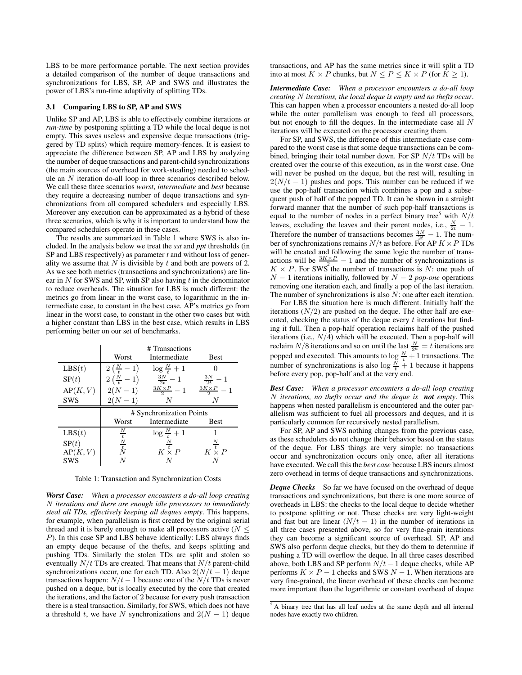LBS to be more performance portable. The next section provides a detailed comparison of the number of deque transactions and synchronizations for LBS, SP, AP and SWS and illustrates the power of LBS's run-time adaptivity of splitting TDs.

#### 3.1 Comparing LBS to SP, AP and SWS

Unlike SP and AP, LBS is able to effectively combine iterations *at run-time* by postponing splitting a TD while the local deque is not empty. This saves useless and expensive deque transactions (triggered by TD splits) which require memory-fences. It is easiest to appreciate the difference between SP, AP and LBS by analyzing the number of deque transactions and parent-child synchronizations (the main sources of overhead for work-stealing) needed to schedule an N iteration do-all loop in three scenarios described below. We call these three scenarios *worst*, *intermediate* and *best* because they require a decreasing number of deque transactions and synchronizations from all compared schedulers and especially LBS. Moreover any execution can be approximated as a hybrid of these three scenarios, which is why it is important to understand how the compared schedulers operate in these cases.

The results are summarized in Table 1 where SWS is also included. In the analysis below we treat the *sst* and *ppt* thresholds (in SP and LBS respectively) as parameter *t* and without loss of generality we assume that  $N$  is divisible by  $t$  and both are powers of 2. As we see both metrics (transactions and synchronizations) are linear in  $N$  for SWS and SP, with SP also having  $t$  in the denominator to reduce overheads. The situation for LBS is much different: the metrics go from linear in the worst case, to logarithmic in the intermediate case, to constant in the best case. AP's metrics go from linear in the worst case, to constant in the other two cases but with a higher constant than LBS in the best case, which results in LBS performing better on our set of benchmarks.

|            |                                | # Transactions                   |                                               |
|------------|--------------------------------|----------------------------------|-----------------------------------------------|
|            | Worst                          | Intermediate                     | <b>Best</b>                                   |
| LBS(t)     | $2\left(\frac{N}{t}-1\right)$  | $\log \frac{N}{t} + 1$           |                                               |
| SP(t)      | $2\left(\frac{N}{t}-1\right)$  | $\frac{3N}{2t}-1$                | $\frac{3N}{2t}-1$                             |
| AP(K, V)   | $2(N-1)$                       | $\frac{3K\times P}{2} - 1$       | $\frac{3K\times P}{2}$<br>$-1$                |
| <b>SWS</b> | $2(N-1)$                       |                                  |                                               |
|            |                                |                                  |                                               |
|            |                                | # Synchronization Points         |                                               |
|            | Worst                          | Intermediate                     | <b>Best</b>                                   |
| LBS(t)     |                                | $\log \frac{N}{t} + 1$           |                                               |
| SP(t)      |                                |                                  |                                               |
| AP(K, V)   | $\frac{N}{t}$<br>$\frac{N}{N}$ | $\frac{N}{K} \frac{N}{\times} P$ | $\label{eq:K} \frac{\frac{N}{t}}{K \times P}$ |

Table 1: Transaction and Synchronization Costs

*Worst Case: When a processor encounters a do-all loop creating* N *iterations and there are enough idle processors to immediately steal all TDs, effectively keeping all deques empty*. This happens, for example, when parallelism is first created by the original serial thread and it is barely enough to make all processors active ( $N \leq$ P). In this case SP and LBS behave identically: LBS always finds an empty deque because of the thefts, and keeps splitting and pushing TDs. Similarly the stolen TDs are split and stolen so eventually  $N/t$  TDs are created. That means that  $N/t$  parent-child synchronizations occur, one for each TD. Also  $2(N/t - 1)$  deque transactions happen:  $N/t - 1$  because one of the  $N/t$  TDs is never pushed on a deque, but is locally executed by the core that created the iterations, and the factor of 2 because for every push transaction there is a steal transaction. Similarly, for SWS, which does not have a threshold t, we have N synchronizations and  $2(N - 1)$  deque

transactions, and AP has the same metrics since it will split a TD into at most  $K \times P$  chunks, but  $N \leq P \leq K \times P$  (for  $\bar{K} > 1$ ).

*Intermediate Case: When a processor encounters a do-all loop creating* N *iterations, the local deque is empty and no thefts occur*. This can happen when a processor encounters a nested do-all loop while the outer parallelism was enough to feed all processors, but not enough to fill the deques. In the intermediate case all N iterations will be executed on the processor creating them.

For SP, and SWS, the difference of this intermediate case compared to the worst case is that some deque transactions can be combined, bringing their total number down. For SP N/t TDs will be created over the course of this execution, as in the worst case. One will never be pushed on the deque, but the rest will, resulting in  $2(N/t - 1)$  pushes and pops. This number can be reduced if we use the pop-half transaction which combines a pop and a subsequent push of half of the popped TD. It can be shown in a straight forward manner that the number of such pop-half transactions is equal to the number of nodes in a perfect binary tree<sup>5</sup> with  $N/t$ leaves, excluding the leaves and their parent nodes, i.e.,  $\frac{N}{2t} - 1$ . Therefore the number of transactions becomes  $\frac{3N}{2t} - 1$ . The number of synchronizations remains  $N/t$  as before. For AP  $K \times P$  TDs will be created and following the same logic the number of transactions will be  $\frac{3K\times P}{2} - 1$  and the number of synchronizations is  $K \times P$ . For SWS the number of transactions is N: one push of  $N - 1$  iterations initially, followed by  $N - 2$  *pop-one* operations removing one iteration each, and finally a pop of the last iteration. The number of synchronizations is also  $N$ : one after each iteration.

For LBS the situation here is much different. Initially half the iterations  $(N/2)$  are pushed on the deque. The other half are executed, checking the status of the deque every  $t$  iterations but finding it full. Then a pop-half operation reclaims half of the pushed iterations (i.e.,  $N/4$ ) which will be executed. Then a pop-half will reclaim  $N/8$  iterations and so on until the last  $\frac{N}{2^k} = t$  iterations are popped and executed. This amounts to  $\log \frac{N}{t} + 1$  transactions. The number of synchronizations is also  $\log \frac{N}{t} + 1$  because it happens before every pop, pop-half and at the very end.

*Best Case: When a processor encounters a do-all loop creating* N *iterations, no thefts occur and the deque is not empty*. This happens when nested parallelism is encountered and the outer parallelism was sufficient to fuel all processors and deques, and it is particularly common for recursively nested parallelism.

For SP, AP and SWS nothing changes from the previous case, as these schedulers do not change their behavior based on the status of the deque. For LBS things are very simple: no transactions occur and synchronization occurs only once, after all iterations have executed. We call this the *best case* because LBS incurs almost zero overhead in terms of deque transactions and synchronizations.

*Deque Checks* So far we have focused on the overhead of deque transactions and synchronizations, but there is one more source of overheads in LBS: the checks to the local deque to decide whether to postpone splitting or not. These checks are very light-weight and fast but are linear  $(N/t - 1)$  in the number of iterations in all three cases presented above, so for very fine-grain iterations they can become a significant source of overhead. SP, AP and SWS also perform deque checks, but they do them to determine if pushing a TD will overflow the deque. In all three cases described above, both LBS and SP perform  $N/t - 1$  deque checks, while AP performs  $K \times P - 1$  checks and SWS  $N - 1$ . When iterations are very fine-grained, the linear overhead of these checks can become more important than the logarithmic or constant overhead of deque

<sup>5</sup> A binary tree that has all leaf nodes at the same depth and all internal nodes have exactly two children.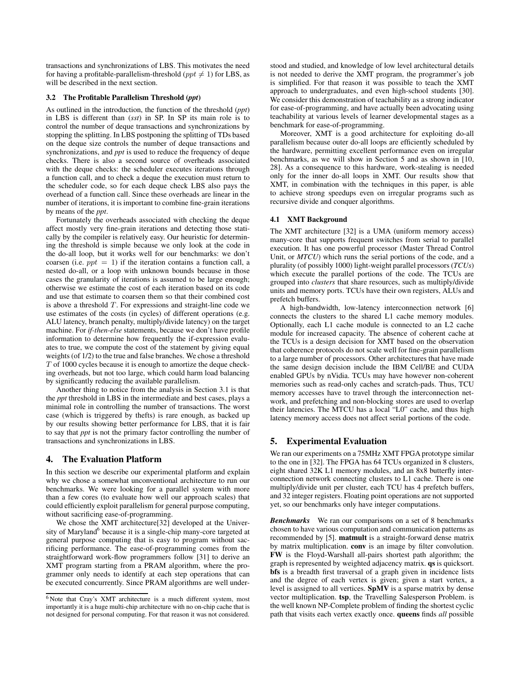transactions and synchronizations of LBS. This motivates the need for having a profitable-parallelism-threshold ( $ppt \neq 1$ ) for LBS, as will be described in the next section.

#### 3.2 The Profitable Parallelism Threshold (*ppt*)

As outlined in the introduction, the function of the threshold (*ppt*) in LBS is different than (*sst*) in SP. In SP its main role is to control the number of deque transactions and synchronizations by stopping the splitting. In LBS postponing the splitting of TDs based on the deque size controls the number of deque transactions and synchronizations, and *ppt* is used to reduce the frequency of deque checks. There is also a second source of overheads associated with the deque checks: the scheduler executes iterations through a function call, and to check a deque the execution must return to the scheduler code, so for each deque check LBS also pays the overhead of a function call. Since these overheads are linear in the number of iterations, it is important to combine fine-grain iterations by means of the *ppt*.

Fortunately the overheads associated with checking the deque affect mostly very fine-grain iterations and detecting those statically by the compiler is relatively easy. Our heuristic for determining the threshold is simple because we only look at the code in the do-all loop, but it works well for our benchmarks: we don't coarsen (i.e.  $ppt = 1$ ) if the iteration contains a function call, a nested do-all, or a loop with unknown bounds because in those cases the granularity of iterations is assumed to be large enough; otherwise we estimate the cost of each iteration based on its code and use that estimate to coarsen them so that their combined cost is above a threshold  $T$ . For expressions and straight-line code we use estimates of the costs (in cycles) of different operations (e.g. ALU latency, branch penalty, multiply/divide latency) on the target machine. For *if-then-else* statements, because we don't have profile information to determine how frequently the if-expression evaluates to true, we compute the cost of the statement by giving equal weights (of 1/2) to the true and false branches. We chose a threshold T of 1000 cycles because it is enough to amortize the deque checking overheads, but not too large, which could harm load balancing by significantly reducing the available parallelism.

Another thing to notice from the analysis in Section 3.1 is that the *ppt* threshold in LBS in the intermediate and best cases, plays a minimal role in controlling the number of transactions. The worst case (which is triggered by thefts) is rare enough, as backed up by our results showing better performance for LBS, that it is fair to say that *ppt* is not the primary factor controlling the number of transactions and synchronizations in LBS.

# 4. The Evaluation Platform

In this section we describe our experimental platform and explain why we chose a somewhat unconventional architecture to run our benchmarks. We were looking for a parallel system with more than a few cores (to evaluate how well our approach scales) that could efficiently exploit parallelism for general purpose computing, without sacrificing ease-of-programming.

We chose the XMT architecture[32] developed at the University of Maryland<sup>6</sup> because it is a single-chip many-core targeted at general purpose computing that is easy to program without sacrificing performance. The ease-of-programming comes from the straightforward work-flow programmers follow [31] to derive an XMT program starting from a PRAM algorithm, where the programmer only needs to identify at each step operations that can be executed concurrently. Since PRAM algorithms are well under-

stood and studied, and knowledge of low level architectural details is not needed to derive the XMT program, the programmer's job is simplified. For that reason it was possible to teach the XMT approach to undergraduates, and even high-school students [30]. We consider this demonstration of teachability as a strong indicator for ease-of-programming, and have actually been advocating using teachability at various levels of learner developmental stages as a benchmark for ease-of-programming.

Moreover, XMT is a good architecture for exploiting do-all parallelism because outer do-all loops are efficiently scheduled by the hardware, permitting excellent performance even on irregular benchmarks, as we will show in Section 5 and as shown in [10, 28]. As a consequence to this hardware, work-stealing is needed only for the inner do-all loops in XMT. Our results show that XMT, in combination with the techniques in this paper, is able to achieve strong speedups even on irregular programs such as recursive divide and conquer algorithms.

#### 4.1 XMT Background

The XMT architecture [32] is a UMA (uniform memory access) many-core that supports frequent switches from serial to parallel execution. It has one powerful processor (Master Thread Control Unit, or *MTCU*) which runs the serial portions of the code, and a plurality (of possibly 1000) light-weight parallel processors (*TCUs*) which execute the parallel portions of the code. The TCUs are grouped into *clusters* that share resources, such as multiply/divide units and memory ports. TCUs have their own registers, ALUs and prefetch buffers.

A high-bandwidth, low-latency interconnection network [6] connects the clusters to the shared L1 cache memory modules. Optionally, each L1 cache module is connected to an L2 cache module for increased capacity. The absence of coherent cache at the TCUs is a design decision for XMT based on the observation that coherence protocols do not scale well for fine-grain parallelism to a large number of processors. Other architectures that have made the same design decision include the IBM Cell/BE and CUDA enabled GPUs by nVidia. TCUs may have however non-coherent memories such as read-only caches and scratch-pads. Thus, TCU memory accesses have to travel through the interconnection network, and prefetching and non-blocking stores are used to overlap their latencies. The MTCU has a local "L0" cache, and thus high latency memory access does not affect serial portions of the code.

# 5. Experimental Evaluation

We ran our experiments on a 75MHz XMT FPGA prototype similar to the one in [32]. The FPGA has 64 TCUs organized in 8 clusters, eight shared 32K L1 memory modules, and an 8x8 butterfly interconnection network connecting clusters to L1 cache. There is one multiply/divide unit per cluster, each TCU has 4 prefetch buffers, and 32 integer registers. Floating point operations are not supported yet, so our benchmarks only have integer computations.

*Benchmarks* We ran our comparisons on a set of 8 benchmarks chosen to have various computation and communication patterns as recommended by [5]. matmult is a straight-forward dense matrix by matrix multiplication. conv is an image by filter convolution. FW is the Floyd-Warshall all-pairs shortest path algorithm; the graph is represented by weighted adjacency matrix. qs is quicksort. bfs is a breadth first traversal of a graph given in incidence lists and the degree of each vertex is given; given a start vertex, a level is assigned to all vertices. SpMV is a sparse matrix by dense vector multiplication. tsp, the Travelling Salesperson Problem. is the well known NP-Complete problem of finding the shortest cyclic path that visits each vertex exactly once. queens finds *all* possible

<sup>&</sup>lt;sup>6</sup> Note that Cray's XMT architecture is a much different system, most importantly it is a huge multi-chip architecture with no on-chip cache that is not designed for personal computing. For that reason it was not considered.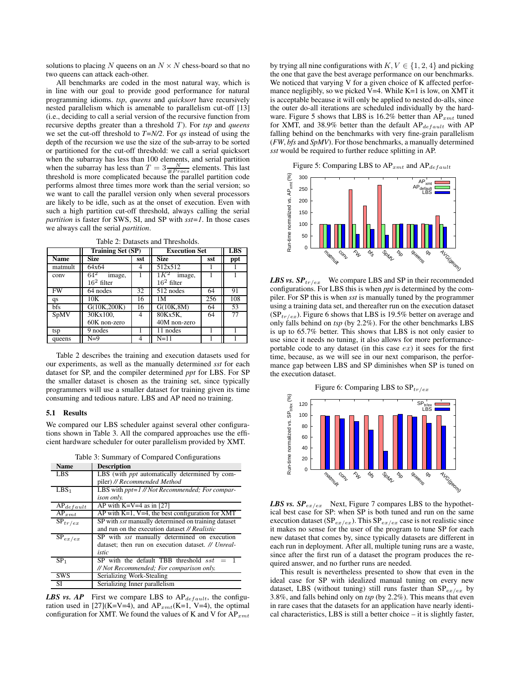solutions to placing N queens on an  $N \times N$  chess-board so that no two queens can attack each-other.

All benchmarks are coded in the most natural way, which is in line with our goal to provide good performance for natural programming idioms. *tsp*, *queens* and *quicksort* have recursively nested parallelism which is amenable to parallelism cut-off [13] (i.e., deciding to call a serial version of the recursive function from recursive depths greater than a threshold T). For *tsp* and *queens* we set the cut-off threshold to *T=N/2*. For *qs* instead of using the depth of the recursion we use the size of the sub-array to be sorted or partitioned for the cut-off threshold: we call a serial quicksort when the subarray has less than 100 elements, and serial partition when the subarray has less than  $T = 3 \frac{N}{\# Process}$  elements. This last threshold is more complicated because the parallel partition code performs almost three times more work than the serial version; so we want to call the parallel version only when several processors are likely to be idle, such as at the onset of execution. Even with such a high partition cut-off threshold, always calling the serial *partition* is faster for SWS, SI, and SP with *sst=1*. In those cases we always call the serial *partition*.

Table 2: Datasets and Thresholds.

|            | <b>Training Set (SP)</b> |     | <b>Execution Set</b> | LBS |     |
|------------|--------------------------|-----|----------------------|-----|-----|
| Name       | <b>Size</b>              | sst | <b>Size</b><br>sst   |     | ppt |
| matmult    | 64x64                    |     | 512x512              |     |     |
| conv       | $64^{2}$<br>image,       |     | $1K^2$<br>image,     |     |     |
|            | $162$ filter             |     | $162$ filter         |     |     |
| <b>FW</b>  | 64 nodes                 | 32  | 512 nodes            | 64  | 91  |
| qs         | 10K                      | 16  | 1М                   | 256 | 108 |
| <b>bfs</b> | G(10K, 200K)             | 16  | G(10K, 8M)           | 64  | 53  |
| SpMV       | 30Kx100,                 | 4   | 80Kx5K,              | 64  | 77  |
|            | 60K non-zero             |     | 40M non-zero         |     |     |
| tsp        | 9 nodes                  |     | 11 nodes             |     |     |
| queens     | $N=9$                    | 4   | $N=11$               |     |     |

Table 2 describes the training and execution datasets used for our experiments, as well as the manually determined *sst* for each dataset for SP, and the compiler determined *ppt* for LBS. For SP the smaller dataset is chosen as the training set, since typically programmers will use a smaller dataset for training given its time consuming and tedious nature. LBS and AP need no training.

#### 5.1 Results

We compared our LBS scheduler against several other configurations shown in Table 3. All the compared approaches use the efficient hardware scheduler for outer parallelism provided by XMT.

Table 3: Summary of Compared Configurations

| <b>Name</b>                    | <b>Description</b>                                         |
|--------------------------------|------------------------------------------------------------|
| LBS.                           | LBS (with <i>ppt</i> automatically determined by com-      |
|                                | piler) // Recommended Method                               |
| LBS <sub>1</sub>               | LBS with ppt=1 // Not Recommended; For compar-             |
|                                | ison only.                                                 |
| $AP_{default}$                 | AP with $K=V=4$ as in [27]                                 |
| $AP_{xmt}$                     | AP with $K=1$ , $V=4$ , the best configuration for XMT     |
| $\overline{\text{SP}}_{tr/ex}$ | SP with <i>sst</i> manually determined on training dataset |
|                                | and run on the execution dataset // Realistic              |
| $\overline{\text{SP}}_{ex-ex}$ | SP with <i>sst</i> manually determined on execution        |
|                                | dataset; then run on execution dataset. // Unreal-         |
|                                | istic                                                      |
| SP <sub>1</sub>                | SP with the default TBB threshold sst                      |
|                                | // Not Recommended; For comparison only.                   |
| <b>SWS</b>                     | Serializing Work-Stealing                                  |
| SІ                             | Serializing Inner parallelism                              |

*LBS vs. AP* First we compare LBS to  $AP_{default}$ , the configuration used in [27](K=V=4), and  $AP_{xmt}$ (K=1, V=4), the optimal configuration for XMT. We found the values of K and V for  $AP_{xmt}$ 

by trying all nine configurations with  $K, V \in \{1, 2, 4\}$  and picking the one that gave the best average performance on our benchmarks. We noticed that varying V for a given choice of K affected performance negligibly, so we picked V=4. While K=1 is low, on XMT it is acceptable because it will only be applied to nested do-alls, since the outer do-all iterations are scheduled individually by the hardware. Figure 5 shows that LBS is 16.2% better than  $AP_{xmt}$  tuned for XMT, and 38.9% better than the default  $AP_{default}$  with AP falling behind on the benchmarks with very fine-grain parallelism (*FW*, *bfs* and *SpMV*). For those benchmarks, a manually determined *sst* would be required to further reduce splitting in AP.



*LBS vs.*  $SP_{tr/ex}$  We compare LBS and SP in their recommended configurations. For LBS this is when *ppt* is determined by the compiler. For SP this is when *sst* is manually tuned by the programmer using a training data set, and thereafter run on the execution dataset  $(SP<sub>tr/ex</sub>)$ . Figure 6 shows that LBS is 19.5% better on average and only falls behind on *tsp* (by 2.2%). For the other benchmarks LBS is up to 65.7% better. This shows that LBS is not only easier to use since it needs no tuning, it also allows for more performanceportable code to any dataset (in this case  $ex$ ) it sees for the first time, because, as we will see in our next comparison, the performance gap between LBS and SP diminishes when SP is tuned on the execution dataset.



*LBS vs.*  $SP_{ex/ex}$  Next, Figure 7 compares LBS to the hypothetical best case for SP: when SP is both tuned and run on the same execution dataset ( $SP_{ex/ex}$ ). This  $SP_{ex/ex}$  case is not realistic since it makes no sense for the user of the program to tune SP for each new dataset that comes by, since typically datasets are different in each run in deployment. After all, multiple tuning runs are a waste, since after the first run of a dataset the program produces the required answer, and no further runs are needed.

This result is nevertheless presented to show that even in the ideal case for SP with idealized manual tuning on every new dataset, LBS (without tuning) still runs faster than  $SP_{ex/ex}$  by 3.8%, and falls behind only on *tsp* (by 2.2%). This means that even in rare cases that the datasets for an application have nearly identical characteristics, LBS is still a better choice – it is slightly faster,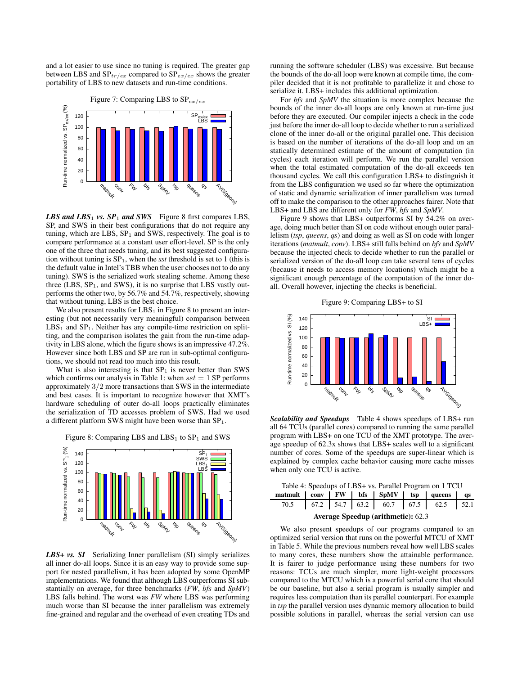and a lot easier to use since no tuning is required. The greater gap between LBS and  $SP_{tr/ex}$  compared to  $SP_{ex/ex}$  shows the greater portability of LBS to new datasets and run-time conditions.



LBS and LBS<sub>1</sub> vs. SP<sub>1</sub> and SWS Figure 8 first compares LBS, SP, and SWS in their best configurations that do not require any tuning, which are LBS,  $SP_1$  and SWS, respectively. The goal is to compare performance at a constant user effort-level. SP is the only one of the three that needs tuning, and its best suggested configuration without tuning is  $SP<sub>1</sub>$ , when the *sst* threshold is set to 1 (this is the default value in Intel's TBB when the user chooses not to do any tuning). SWS is the serialized work stealing scheme. Among these three  $(LBS, SP<sub>1</sub>, and SWS)$ , it is no surprise that LBS vastly outperforms the other two, by 56.7% and 54.7%, respectively, showing that without tuning, LBS is the best choice.

We also present results for  $LBS_1$  in Figure 8 to present an interesting (but not necessarily very meaningful) comparison between  $LBS<sub>1</sub>$  and  $SP<sub>1</sub>$ . Neither has any compile-time restriction on splitting, and the comparison isolates the gain from the run-time adaptivity in LBS alone, which the figure shows is an impressive 47.2%. However since both LBS and SP are run in sub-optimal configurations, we should not read too much into this result.

What is also interesting is that  $SP<sub>1</sub>$  is never better than SWS which confirms our analysis in Table 1: when  $sst = 1$  SP performs approximately 3/2 more transactions than SWS in the intermediate and best cases. It is important to recognize however that XMT's hardware scheduling of outer do-all loops practically eliminates the serialization of TD accesses problem of SWS. Had we used a different platform SWS might have been worse than SP1.

Figure 8: Comparing LBS and  $LBS_1$  to  $SP_1$  and SWS



*LBS+ vs. SI* Serializing Inner parallelism (SI) simply serializes all inner do-all loops. Since it is an easy way to provide some support for nested parallelism, it has been adopted by some OpenMP implementations. We found that although LBS outperforms SI substantially on average, for three benchmarks (*FW*, *bfs* and *SpMV*) LBS falls behind. The worst was *FW* where LBS was performing much worse than SI because the inner parallelism was extremely fine-grained and regular and the overhead of even creating TDs and

running the software scheduler (LBS) was excessive. But because the bounds of the do-all loop were known at compile time, the compiler decided that it is not profitable to parallelize it and chose to serialize it. LBS+ includes this additional optimization.

For *bfs* and *SpMV* the situation is more complex because the bounds of the inner do-all loops are only known at run-time just before they are executed. Our compiler injects a check in the code just before the inner do-all loop to decide whether to run a serialized clone of the inner do-all or the original parallel one. This decision is based on the number of iterations of the do-all loop and on an statically determined estimate of the amount of computation (in cycles) each iteration will perform. We run the parallel version when the total estimated computation of the do-all exceeds ten thousand cycles. We call this configuration LBS+ to distinguish it from the LBS configuration we used so far where the optimization of static and dynamic serialization of inner parallelism was turned off to make the comparison to the other approaches fairer. Note that LBS+ and LBS are different only for *FW*, *bfs* and *SpMV*.

Figure 9 shows that LBS+ outperforms SI by 54.2% on average, doing much better than SI on code without enough outer parallelism (*tsp*, *queens*, *qs*) and doing as well as SI on code with longer iterations (*matmult*, *conv*). LBS+ still falls behind on *bfs* and *SpMV* because the injected check to decide whether to run the parallel or serialized version of the do-all loop can take several tens of cycles (because it needs to access memory locations) which might be a significant enough percentage of the computation of the inner doall. Overall however, injecting the checks is beneficial.

Figure 9: Comparing LBS+ to SI



*Scalability and Speedups* Table 4 shows speedups of LBS+ run all 64 TCUs (parallel cores) compared to running the same parallel program with LBS+ on one TCU of the XMT prototype. The average speedup of 62.3x shows that LBS+ scales well to a significant number of cores. Some of the speedups are super-linear which is explained by complex cache behavior causing more cache misses when only one TCU is active.

|                                                 |  |  |  |  |  | Table 4: Speedups of LBS+ vs. Parallel Program on 1 TCU |    |
|-------------------------------------------------|--|--|--|--|--|---------------------------------------------------------|----|
| matmult   conv   FW   bfs   SpMV   tsp   queens |  |  |  |  |  |                                                         | as |
| 70.5                                            |  |  |  |  |  | $67.2$ 54.7 63.2 60.7 67.5 62.5 52.1                    |    |
| <b>Average Speedup (arithmetic): 62.3</b>       |  |  |  |  |  |                                                         |    |

We also present speedups of our programs compared to an optimized serial version that runs on the powerful MTCU of XMT in Table 5. While the previous numbers reveal how well LBS scales to many cores, these numbers show the attainable performance. It is fairer to judge performance using these numbers for two reasons: TCUs are much simpler, more light-weight processors compared to the MTCU which is a powerful serial core that should be our baseline, but also a serial program is usually simpler and requires less computation than its parallel counterpart. For example in *tsp* the parallel version uses dynamic memory allocation to build possible solutions in parallel, whereas the serial version can use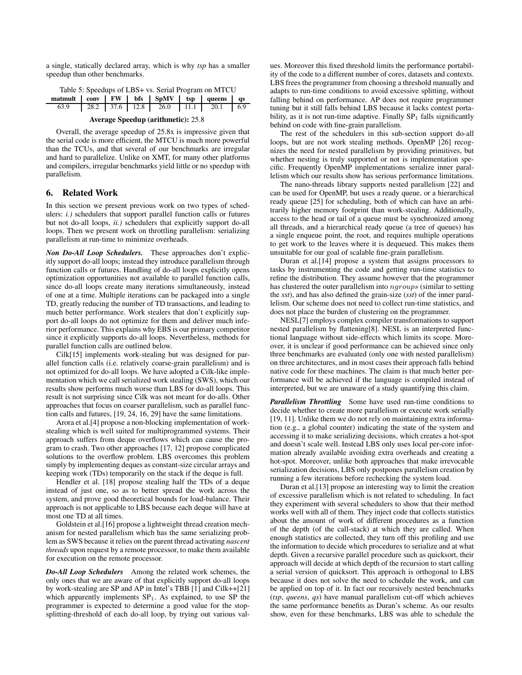a single, statically declared array, which is why *tsp* has a smaller speedup than other benchmarks.

|  |  |  | matmult   conv   FW   bfs   SpMV   tsp   queens   qs |  |
|--|--|--|------------------------------------------------------|--|
|  |  |  | 63.9 28.2 37.6 12.8 26.0 11.1 20.1 6.9               |  |
|  |  |  |                                                      |  |

|  |  | <b>Average Speedup (arithmetic): 25.8</b> |  |
|--|--|-------------------------------------------|--|
|--|--|-------------------------------------------|--|

Overall, the average speedup of 25.8x is impressive given that the serial code is more efficient, the MTCU is much more powerful than the TCUs, and that several of our benchmarks are irregular and hard to parallelize. Unlike on XMT, for many other platforms and compilers, irregular benchmarks yield little or no speedup with parallelism.

#### 6. Related Work

In this section we present previous work on two types of schedulers: *i.)* schedulers that support parallel function calls or futures but not do-all loops, *ii.)* schedulers that explicitly support do-all loops. Then we present work on throttling parallelism: serializing parallelism at run-time to minimize overheads.

*Non Do-All Loop Schedulers.* These approaches don't explicitly support do-all loops; instead they introduce parallelism through function calls or futures. Handling of do-all loops explicitly opens optimization opportunities not available to parallel function calls, since do-all loops create many iterations simultaneously, instead of one at a time. Multiple iterations can be packaged into a single TD, greatly reducing the number of TD transactions, and leading to much better performance. Work stealers that don't explicitly support do-all loops do not optimize for them and deliver much inferior performance. This explains why EBS is our primary competitor since it explicitly supports do-all loops. Nevertheless, methods for parallel function calls are outlined below.

Cilk[15] implements work-stealing but was designed for parallel function calls (i.e. relatively coarse-grain parallelism) and is not optimized for do-all loops. We have adopted a Cilk-like implementation which we call serialized work stealing (SWS), which our results show performs much worse than LBS for do-all loops. This result is not surprising since Cilk was not meant for do-alls. Other approaches that focus on coarser parallelism, such as parallel function calls and futures, [19, 24, 16, 29] have the same limitations.

Arora et al.[4] propose a non-blocking implementation of workstealing which is well suited for multiprogrammed systems. Their approach suffers from deque overflows which can cause the program to crash. Two other approaches [17, 12] propose complicated solutions to the overflow problem. LBS overcomes this problem simply by implementing deques as constant-size circular arrays and keeping work (TDs) temporarily on the stack if the deque is full.

Hendler et al. [18] propose stealing half the TDs of a deque instead of just one, so as to better spread the work across the system, and prove good theoretical bounds for load-balance. Their approach is not applicable to LBS because each deque will have at most one TD at all times.

Goldstein et al.[16] propose a lightweight thread creation mechanism for nested parallelism which has the same serializing problem as SWS because it relies on the parent thread activating *nascent threads* upon request by a remote processor, to make them available for execution on the remote processor.

*Do-All Loop Schedulers* Among the related work schemes, the only ones that we are aware of that explicitly support do-all loops by work-stealing are SP and AP in Intel's TBB [1] and Cilk++[21] which apparently implements  $SP<sub>1</sub>$ . As explained, to use SP the programmer is expected to determine a good value for the stopsplitting-threshold of each do-all loop, by trying out various values. Moreover this fixed threshold limits the performance portability of the code to a different number of cores, datasets and contexts. LBS frees the programmer from choosing a threshold manually and adapts to run-time conditions to avoid excessive splitting, without falling behind on performance. AP does not require programmer tuning but it still falls behind LBS because it lacks context portability, as it is not run-time adaptive. Finally  $SP_1$  falls significantly behind on code with fine-grain parallelism.

The rest of the schedulers in this sub-section support do-all loops, but are not work stealing methods. OpenMP [26] recognizes the need for nested parallelism by providing primitives, but whether nesting is truly supported or not is implementation specific. Frequently OpenMP implementations serialize inner parallelism which our results show has serious performance limitations.

The nano-threads library supports nested parallelism [22] and can be used for OpenMP, but uses a ready queue, or a hierarchical ready queue [25] for scheduling, both of which can have an arbitrarily higher memory footprint than work-stealing. Additionally, access to the head or tail of a queue must be synchronized among all threads, and a hierarchical ready queue (a tree of queues) has a single enqueue point, the root, and requires multiple operations to get work to the leaves where it is dequeued. This makes them unsuitable for our goal of scalable fine-grain parallelism.

Duran et al.[14] propose a system that assigns processors to tasks by instrumenting the code and getting run-time statistics to refine the distribution. They assume however that the programmer has clustered the outer parallelism into ngroups (similar to setting the *sst*), and has also defined the grain-size (*sst*) of the inner parallelism. Our scheme does not need to collect run-time statistics, and does not place the burden of clustering on the programmer.

NESL[7] employs complex compiler transformations to support nested parallelism by flattening[8]. NESL is an interpreted functional language without side-effects which limits its scope. Moreover, it is unclear if good performance can be achieved since only three benchmarks are evaluated (only one with nested parallelism) on three architectures, and in most cases their approach falls behind native code for these machines. The claim is that much better performance will be achieved if the language is compiled instead of interpreted, but we are unaware of a study quantifying this claim.

*Parallelism Throttling* Some have used run-time conditions to decide whether to create more parallelism or execute work serially [19, 11]. Unlike them we do not rely on maintaining extra information (e.g., a global counter) indicating the state of the system and accessing it to make serializing decisions, which creates a hot-spot and doesn't scale well. Instead LBS only uses local per-core information already available avoiding extra overheads and creating a hot-spot. Moreover, unlike both approaches that make irrevocable serialization decisions, LBS only postpones parallelism creation by running a few iterations before rechecking the system load.

Duran et al.[13] propose an interesting way to limit the creation of excessive parallelism which is not related to scheduling. In fact they experiment with several schedulers to show that their method works well with all of them. They inject code that collects statistics about the amount of work of different procedures as a function of the depth (of the call-stack) at which they are called. When enough statistics are collected, they turn off this profiling and use the information to decide which procedures to serialize and at what depth. Given a recursive parallel procedure such as quicksort, their approach will decide at which depth of the recursion to start calling a serial version of quicksort. This approach is orthogonal to LBS because it does not solve the need to schedule the work, and can be applied on top of it. In fact our recursively nested benchmarks (*tsp*, *queens*, *qs*) have manual parallelism cut-off which achieves the same performance benefits as Duran's scheme. As our results show, even for these benchmarks, LBS was able to schedule the